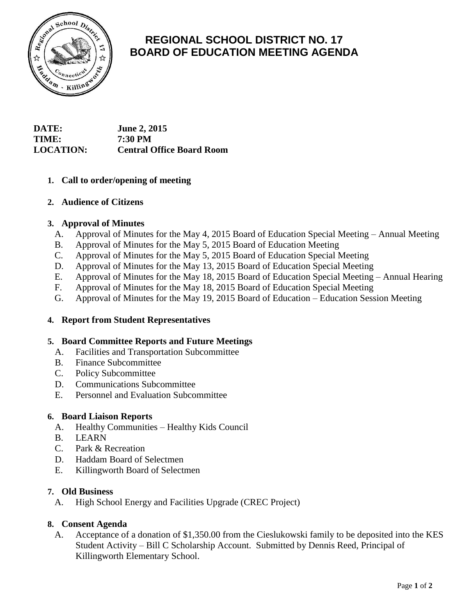

# **REGIONAL SCHOOL DISTRICT NO. 17 BOARD OF EDUCATION MEETING AGENDA**

# **DATE: June 2, 2015 TIME: 7:30 PM LOCATION: Central Office Board Room**

# **1. Call to order/opening of meeting**

## **2. Audience of Citizens**

## **3. Approval of Minutes**

- A. Approval of Minutes for the May 4, 2015 Board of Education Special Meeting Annual Meeting
- B. Approval of Minutes for the May 5, 2015 Board of Education Meeting
- C. Approval of Minutes for the May 5, 2015 Board of Education Special Meeting
- D. Approval of Minutes for the May 13, 2015 Board of Education Special Meeting
- E. Approval of Minutes for the May 18, 2015 Board of Education Special Meeting Annual Hearing
- F. Approval of Minutes for the May 18, 2015 Board of Education Special Meeting
- G. Approval of Minutes for the May 19, 2015 Board of Education Education Session Meeting

#### **4. Report from Student Representatives**

#### **5. Board Committee Reports and Future Meetings**

- A. Facilities and Transportation Subcommittee
- B. Finance Subcommittee
- C. Policy Subcommittee
- D. Communications Subcommittee
- E. Personnel and Evaluation Subcommittee

#### **6. Board Liaison Reports**

- A. Healthy Communities Healthy Kids Council
- B. LEARN
- C. Park & Recreation
- D. Haddam Board of Selectmen
- E. Killingworth Board of Selectmen

#### **7. Old Business**

A. High School Energy and Facilities Upgrade (CREC Project)

#### **8. Consent Agenda**

A. Acceptance of a donation of \$1,350.00 from the Cieslukowski family to be deposited into the KES Student Activity – Bill C Scholarship Account. Submitted by Dennis Reed, Principal of Killingworth Elementary School.